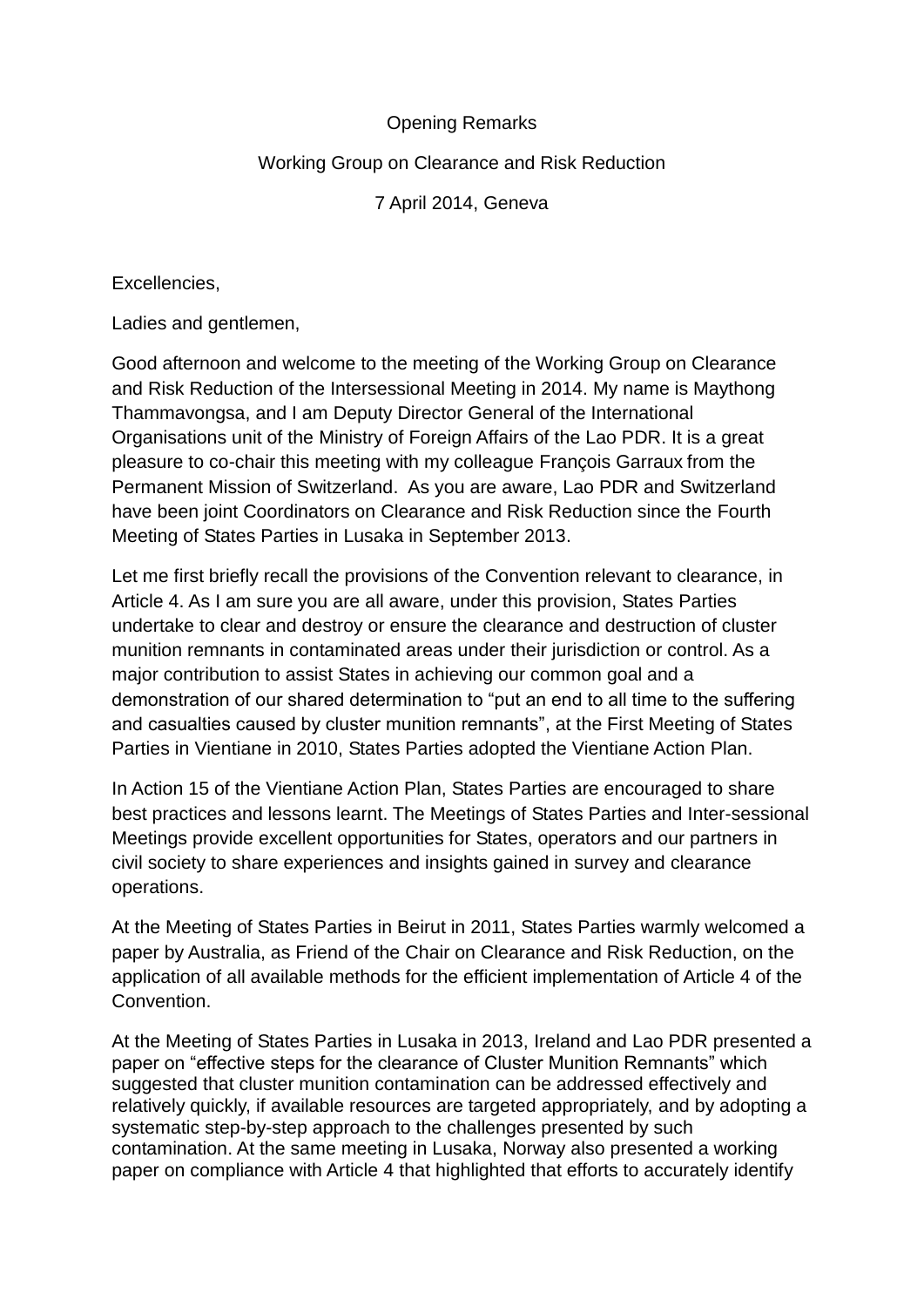## Opening Remarks

## Working Group on Clearance and Risk Reduction

7 April 2014, Geneva

Excellencies,

Ladies and gentlemen,

Good afternoon and welcome to the meeting of the Working Group on Clearance and Risk Reduction of the Intersessional Meeting in 2014. My name is Maythong Thammavongsa, and I am Deputy Director General of the International Organisations unit of the Ministry of Foreign Affairs of the Lao PDR. It is a great pleasure to co-chair this meeting with my colleague François Garraux from the Permanent Mission of Switzerland. As you are aware, Lao PDR and Switzerland have been joint Coordinators on Clearance and Risk Reduction since the Fourth Meeting of States Parties in Lusaka in September 2013.

Let me first briefly recall the provisions of the Convention relevant to clearance, in Article 4. As I am sure you are all aware, under this provision, States Parties undertake to clear and destroy or ensure the clearance and destruction of cluster munition remnants in contaminated areas under their jurisdiction or control. As a major contribution to assist States in achieving our common goal and a demonstration of our shared determination to "put an end to all time to the suffering and casualties caused by cluster munition remnants", at the First Meeting of States Parties in Vientiane in 2010, States Parties adopted the Vientiane Action Plan.

In Action 15 of the Vientiane Action Plan, States Parties are encouraged to share best practices and lessons learnt. The Meetings of States Parties and Inter-sessional Meetings provide excellent opportunities for States, operators and our partners in civil society to share experiences and insights gained in survey and clearance operations.

At the Meeting of States Parties in Beirut in 2011, States Parties warmly welcomed a paper by Australia, as Friend of the Chair on Clearance and Risk Reduction, on the application of all available methods for the efficient implementation of Article 4 of the Convention.

At the Meeting of States Parties in Lusaka in 2013, Ireland and Lao PDR presented a paper on "effective steps for the clearance of Cluster Munition Remnants" which suggested that cluster munition contamination can be addressed effectively and relatively quickly, if available resources are targeted appropriately, and by adopting a systematic step-by-step approach to the challenges presented by such contamination. At the same meeting in Lusaka, Norway also presented a working paper on compliance with Article 4 that highlighted that efforts to accurately identify